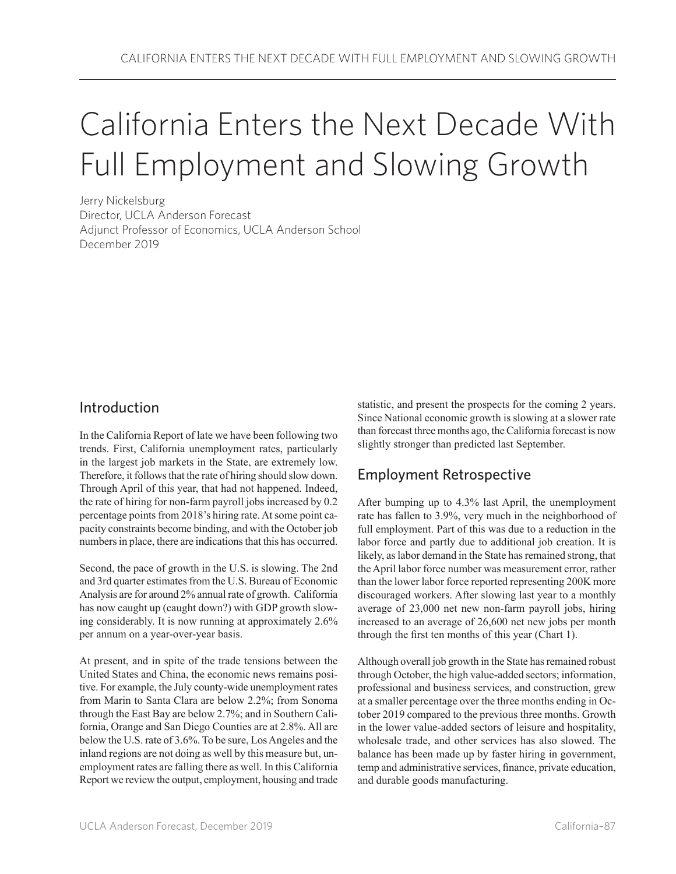# California Enters the Next Decade With Full Employment and Slowing Growth

Jerry Nickelsburg Director, UCLA Anderson Forecast Adjunct Professor of Economics, UCLA Anderson School December 2019

#### Introduction

In the California Report of late we have been following two trends. First, California unemployment rates, particularly in the largest job markets in the State, are extremely low. Therefore, it follows that the rate of hiring should slow down. Through April of this year, that had not happened. Indeed, the rate of hiring for non-farm payroll jobs increased by 0.2 percentage points from 2018's hiring rate. At some point capacity constraints become binding, and with the October job numbers in place, there are indications that this has occurred.

Second, the pace of growth in the U.S. is slowing. The 2nd and 3rd quarter estimates from the U.S. Bureau of Economic Analysis are for around 2% annual rate of growth. California has now caught up (caught down?) with GDP growth slowing considerably. It is now running at approximately 2.6% per annum on a year-over-year basis.

At present, and in spite of the trade tensions between the United States and China, the economic news remains positive. For example, the July county-wide unemployment rates from Marin to Santa Clara are below 2.2%; from Sonoma through the East Bay are below 2.7%; and in Southern California, Orange and San Diego Counties are at 2.8%. All are below the U.S. rate of 3.6%. To be sure, Los Angeles and the inland regions are not doing as well by this measure but, unemployment rates are falling there as well. In this California Report we review the output, employment, housing and trade statistic, and present the prospects for the coming 2 years. Since National economic growth is slowing at a slower rate than forecast three months ago, the California forecast is now slightly stronger than predicted last September.

# Employment Retrospective

After bumping up to 4.3% last April, the unemployment rate has fallen to 3.9%, very much in the neighborhood of full employment. Part of this was due to a reduction in the labor force and partly due to additional job creation. It is likely, as labor demand in the State has remained strong, that the April labor force number was measurement error, rather than the lower labor force reported representing 200K more discouraged workers. After slowing last year to a monthly average of 23,000 net new non-farm payroll jobs, hiring increased to an average of 26,600 net new jobs per month through the first ten months of this year (Chart 1).

Although overall job growth in the State has remained robust through October, the high value-added sectors; information, professional and business services, and construction, grew at a smaller percentage over the three months ending in October 2019 compared to the previous three months. Growth in the lower value-added sectors of leisure and hospitality, wholesale trade, and other services has also slowed. The balance has been made up by faster hiring in government, temp and administrative services, finance, private education, and durable goods manufacturing.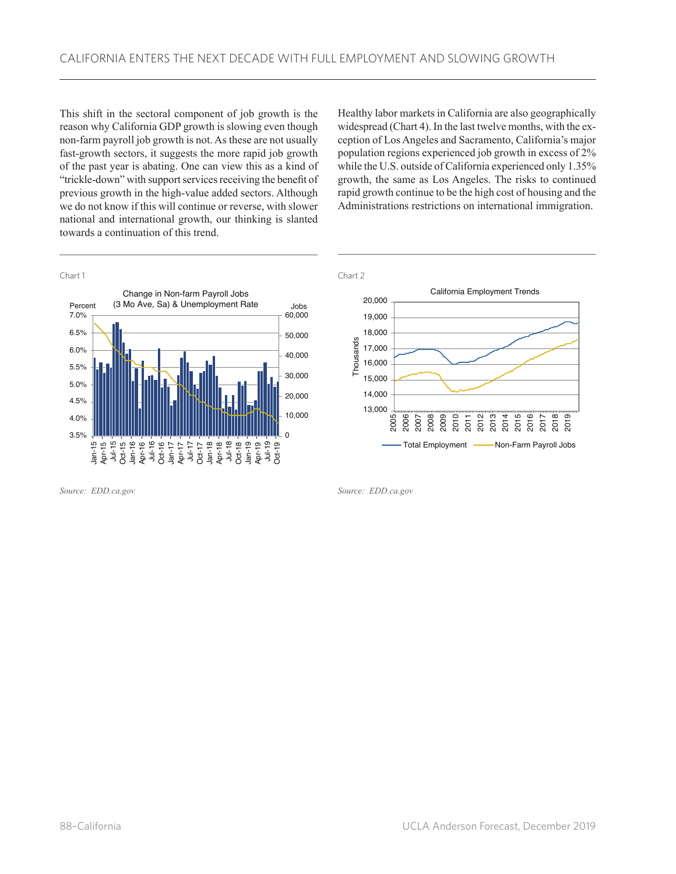This shift in the sectoral component of job growth is the reason why California GDP growth is slowing even though non-farm payroll job growth is not. As these are not usually fast-growth sectors, it suggests the more rapid job growth of the past year is abating. One can view this as a kind of "trickle-down" with support services receiving the benefit of previous growth in the high-value added sectors. Although we do not know if this will continue or reverse, with slower national and international growth, our thinking is slanted towards a continuation of this trend.

Healthy labor markets in California are also geographically widespread (Chart 4). In the last twelve months, with the exception of Los Angeles and Sacramento, California's major population regions experienced job growth in excess of 2% while the U.S. outside of California experienced only 1.35% growth, the same as Los Angeles. The risks to continued rapid growth continue to be the high cost of housing and the Administrations restrictions on international immigration.



*Source: EDD.ca.gov*



*Source: EDD.ca.gov*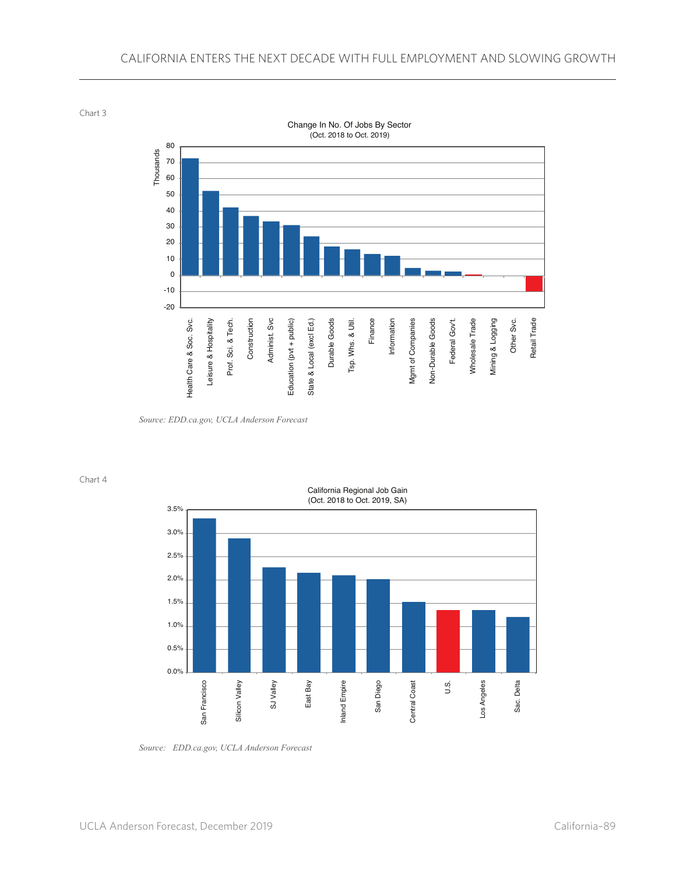Chart 3



*Source: EDD.ca.gov, UCLA Anderson Forecast*

Chart 4



*Source: EDD.ca.gov, UCLA Anderson Forecast*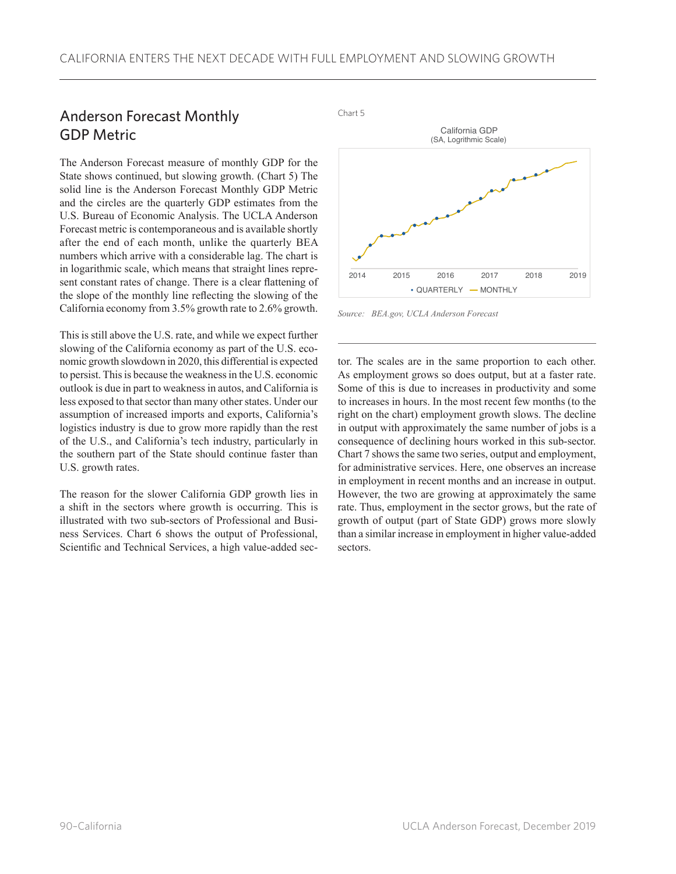# Anderson Forecast Monthly GDP Metric

The Anderson Forecast measure of monthly GDP for the State shows continued, but slowing growth. (Chart 5) The solid line is the Anderson Forecast Monthly GDP Metric and the circles are the quarterly GDP estimates from the U.S. Bureau of Economic Analysis. The UCLA Anderson Forecast metric is contemporaneous and is available shortly after the end of each month, unlike the quarterly BEA numbers which arrive with a considerable lag. The chart is in logarithmic scale, which means that straight lines represent constant rates of change. There is a clear flattening of the slope of the monthly line reflecting the slowing of the California economy from 3.5% growth rate to 2.6% growth.

This is still above the U.S. rate, and while we expect further slowing of the California economy as part of the U.S. economic growth slowdown in 2020, this differential is expected to persist. This is because the weakness in the U.S. economic outlook is due in part to weakness in autos, and California is less exposed to that sector than many other states. Under our assumption of increased imports and exports, California's logistics industry is due to grow more rapidly than the rest of the U.S., and California's tech industry, particularly in the southern part of the State should continue faster than U.S. growth rates.

The reason for the slower California GDP growth lies in a shift in the sectors where growth is occurring. This is illustrated with two sub-sectors of Professional and Business Services. Chart 6 shows the output of Professional, Scientific and Technical Services, a high value-added sec-



*Source: BEA.gov, UCLA Anderson Forecast*

tor. The scales are in the same proportion to each other. As employment grows so does output, but at a faster rate. Some of this is due to increases in productivity and some to increases in hours. In the most recent few months (to the right on the chart) employment growth slows. The decline in output with approximately the same number of jobs is a consequence of declining hours worked in this sub-sector. Chart 7 shows the same two series, output and employment, for administrative services. Here, one observes an increase in employment in recent months and an increase in output. However, the two are growing at approximately the same rate. Thus, employment in the sector grows, but the rate of growth of output (part of State GDP) grows more slowly than a similar increase in employment in higher value-added sectors.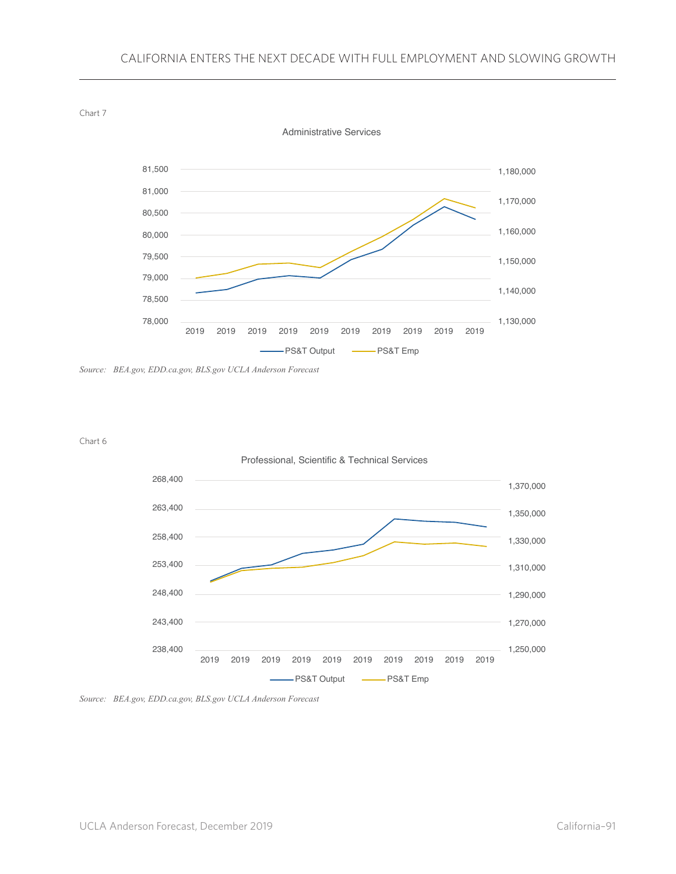

*Source: BEA.gov, EDD.ca.gov, BLS.gov UCLA Anderson Forecast*





*Source: BEA.gov, EDD.ca.gov, BLS.gov UCLA Anderson Forecast*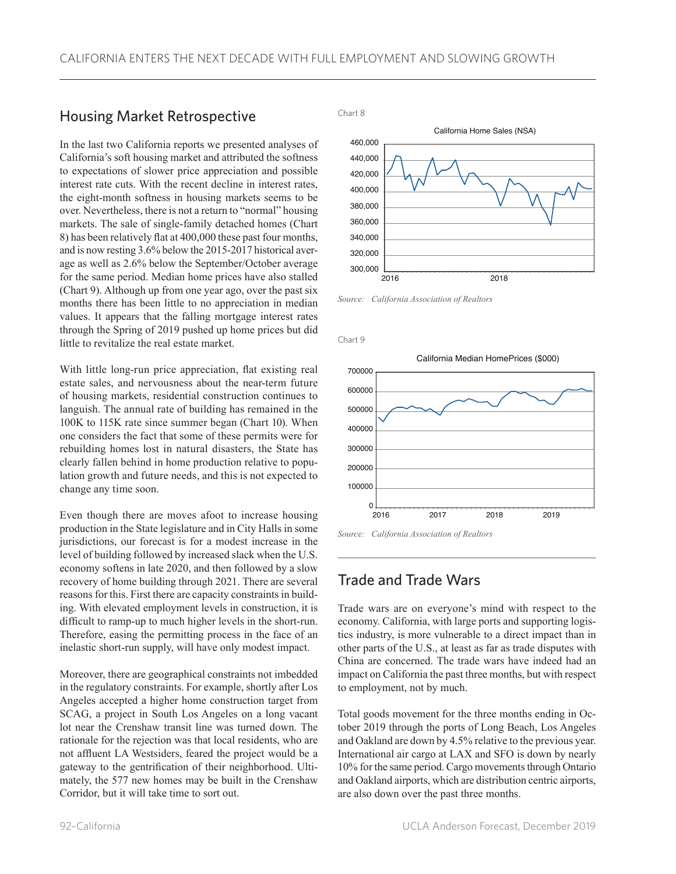### Housing Market Retrospective

In the last two California reports we presented analyses of California's soft housing market and attributed the softness to expectations of slower price appreciation and possible interest rate cuts. With the recent decline in interest rates, the eight-month softness in housing markets seems to be over. Nevertheless, there is not a return to "normal" housing markets. The sale of single-family detached homes (Chart 8) has been relatively flat at 400,000 these past four months, and is now resting 3.6% below the 2015-2017 historical average as well as 2.6% below the September/October average for the same period. Median home prices have also stalled (Chart 9). Although up from one year ago, over the past six months there has been little to no appreciation in median values. It appears that the falling mortgage interest rates through the Spring of 2019 pushed up home prices but did little to revitalize the real estate market.

With little long-run price appreciation, flat existing real estate sales, and nervousness about the near-term future of housing markets, residential construction continues to languish. The annual rate of building has remained in the 100K to 115K rate since summer began (Chart 10). When one considers the fact that some of these permits were for rebuilding homes lost in natural disasters, the State has clearly fallen behind in home production relative to population growth and future needs, and this is not expected to change any time soon.

Even though there are moves afoot to increase housing production in the State legislature and in City Halls in some jurisdictions, our forecast is for a modest increase in the level of building followed by increased slack when the U.S. economy softens in late 2020, and then followed by a slow recovery of home building through 2021. There are several reasons for this. First there are capacity constraints in building. With elevated employment levels in construction, it is difficult to ramp-up to much higher levels in the short-run. Therefore, easing the permitting process in the face of an inelastic short-run supply, will have only modest impact.

Moreover, there are geographical constraints not imbedded in the regulatory constraints. For example, shortly after Los Angeles accepted a higher home construction target from SCAG, a project in South Los Angeles on a long vacant lot near the Crenshaw transit line was turned down. The rationale for the rejection was that local residents, who are not affluent LA Westsiders, feared the project would be a gateway to the gentrification of their neighborhood. Ultimately, the 577 new homes may be built in the Crenshaw Corridor, but it will take time to sort out.

Chart 8



*Source: California Association of Realtors*

Chart 9





#### Trade and Trade Wars

Trade wars are on everyone's mind with respect to the economy. California, with large ports and supporting logistics industry, is more vulnerable to a direct impact than in other parts of the U.S., at least as far as trade disputes with China are concerned. The trade wars have indeed had an impact on California the past three months, but with respect to employment, not by much.

Total goods movement for the three months ending in October 2019 through the ports of Long Beach, Los Angeles and Oakland are down by 4.5% relative to the previous year. International air cargo at LAX and SFO is down by nearly 10% for the same period. Cargo movements through Ontario and Oakland airports, which are distribution centric airports, are also down over the past three months.